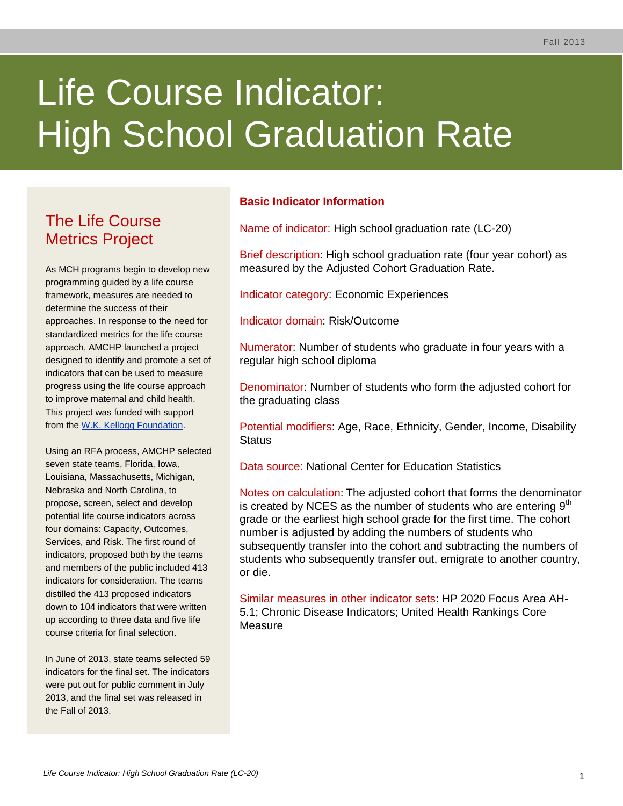# Life Course Indicator: High School Graduation Rate

# The Life Course Metrics Project

As MCH programs begin to develop new programming guided by a life course framework, measures are needed to determine the success of their approaches. In response to the need for standardized metrics for the life course approach, AMCHP launched a project designed to identify and promote a set of indicators that can be used to measure progress using the life course approach to improve maternal and child health. This project was funded with support from the [W.K. Kellogg Foundation.](http://www.wkkf.org/)

Using an RFA process, AMCHP selected seven state teams, Florida, Iowa, Louisiana, Massachusetts, Michigan, Nebraska and North Carolina, to propose, screen, select and develop potential life course indicators across four domains: Capacity, Outcomes, Services, and Risk. The first round of indicators, proposed both by the teams and members of the public included 413 indicators for consideration. The teams distilled the 413 proposed indicators down to 104 indicators that were written up according to three data and five life course criteria for final selection.

In June of 2013, state teams selected 59 indicators for the final set. The indicators were put out for public comment in July 2013, and the final set was released in the Fall of 2013.

# **Basic Indicator Information**

Name of indicator: High school graduation rate (LC-20)

Brief description: High school graduation rate (four year cohort) as measured by the Adjusted Cohort Graduation Rate.

Indicator category: Economic Experiences

Indicator domain: Risk/Outcome

Numerator: Number of students who graduate in four years with a regular high school diploma

Denominator: Number of students who form the adjusted cohort for the graduating class

Potential modifiers: Age, Race, Ethnicity, Gender, Income, Disability **Status** 

Data source: National Center for Education Statistics

Notes on calculation: The adjusted cohort that forms the denominator is created by NCES as the number of students who are entering  $9<sup>th</sup>$ grade or the earliest high school grade for the first time. The cohort number is adjusted by adding the numbers of students who subsequently transfer into the cohort and subtracting the numbers of students who subsequently transfer out, emigrate to another country, or die.

Similar measures in other indicator sets: HP 2020 Focus Area AH-5.1; Chronic Disease Indicators; United Health Rankings Core **Measure**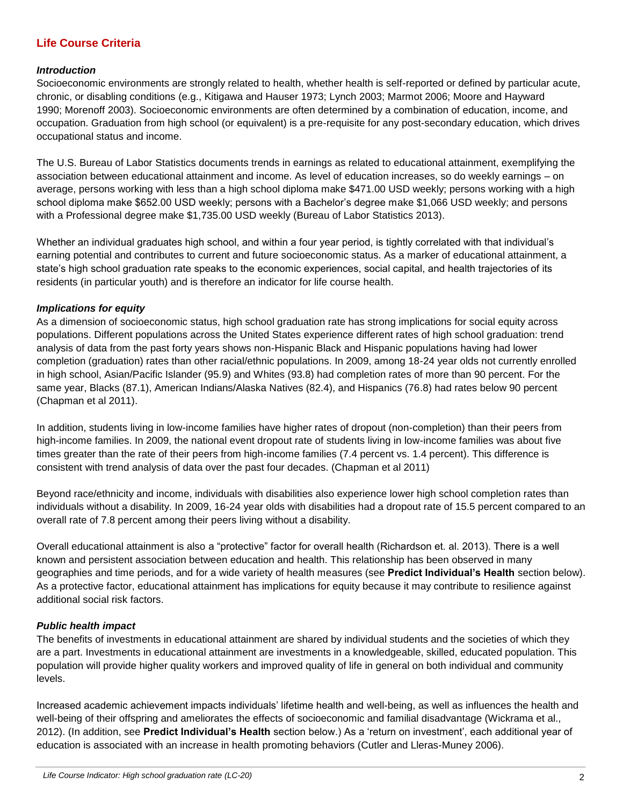# **Life Course Criteria**

#### *Introduction*

Socioeconomic environments are strongly related to health, whether health is self-reported or defined by particular acute, chronic, or disabling conditions (e.g., Kitigawa and Hauser 1973; Lynch 2003; Marmot 2006; Moore and Hayward 1990; Morenoff 2003). Socioeconomic environments are often determined by a combination of education, income, and occupation. Graduation from high school (or equivalent) is a pre-requisite for any post-secondary education, which drives occupational status and income.

The U.S. Bureau of Labor Statistics documents trends in earnings as related to educational attainment, exemplifying the association between educational attainment and income. As level of education increases, so do weekly earnings – on average, persons working with less than a high school diploma make \$471.00 USD weekly; persons working with a high school diploma make \$652.00 USD weekly; persons with a Bachelor's degree make \$1,066 USD weekly; and persons with a Professional degree make \$1,735.00 USD weekly (Bureau of Labor Statistics 2013).

Whether an individual graduates high school, and within a four year period, is tightly correlated with that individual's earning potential and contributes to current and future socioeconomic status. As a marker of educational attainment, a state's high school graduation rate speaks to the economic experiences, social capital, and health trajectories of its residents (in particular youth) and is therefore an indicator for life course health.

#### *Implications for equity*

As a dimension of socioeconomic status, high school graduation rate has strong implications for social equity across populations. Different populations across the United States experience different rates of high school graduation: trend analysis of data from the past forty years shows non-Hispanic Black and Hispanic populations having had lower completion (graduation) rates than other racial/ethnic populations. In 2009, among 18-24 year olds not currently enrolled in high school, Asian/Pacific Islander (95.9) and Whites (93.8) had completion rates of more than 90 percent. For the same year, Blacks (87.1), American Indians/Alaska Natives (82.4), and Hispanics (76.8) had rates below 90 percent (Chapman et al 2011).

In addition, students living in low-income families have higher rates of dropout (non-completion) than their peers from high-income families. In 2009, the national event dropout rate of students living in low-income families was about five times greater than the rate of their peers from high-income families (7.4 percent vs. 1.4 percent). This difference is consistent with trend analysis of data over the past four decades. (Chapman et al 2011)

Beyond race/ethnicity and income, individuals with disabilities also experience lower high school completion rates than individuals without a disability. In 2009, 16-24 year olds with disabilities had a dropout rate of 15.5 percent compared to an overall rate of 7.8 percent among their peers living without a disability.

Overall educational attainment is also a "protective" factor for overall health (Richardson et. al. 2013). There is a well known and persistent association between education and health. This relationship has been observed in many geographies and time periods, and for a wide variety of health measures (see **Predict Individual's Health** section below). As a protective factor, educational attainment has implications for equity because it may contribute to resilience against additional social risk factors.

#### *Public health impact*

The benefits of investments in educational attainment are shared by individual students and the societies of which they are a part. Investments in educational attainment are investments in a knowledgeable, skilled, educated population. This population will provide higher quality workers and improved quality of life in general on both individual and community levels.

Increased academic achievement impacts individuals' lifetime health and well-being, as well as influences the health and well-being of their offspring and ameliorates the effects of socioeconomic and familial disadvantage (Wickrama et al., 2012). (In addition, see **Predict Individual's Health** section below.) As a 'return on investment', each additional year of education is associated with an increase in health promoting behaviors (Cutler and Lleras-Muney 2006).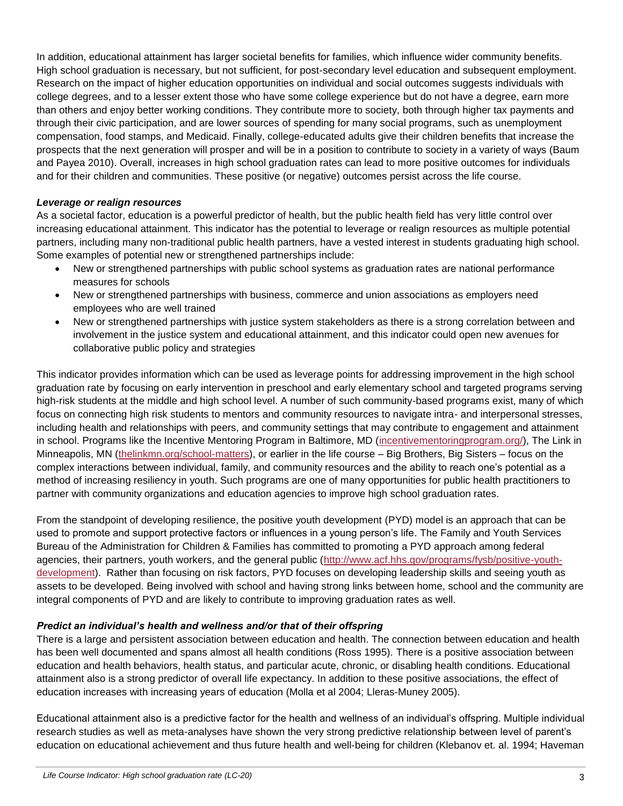In addition, educational attainment has larger societal benefits for families, which influence wider community benefits. High school graduation is necessary, but not sufficient, for post-secondary level education and subsequent employment. Research on the impact of higher education opportunities on individual and social outcomes suggests individuals with college degrees, and to a lesser extent those who have some college experience but do not have a degree, earn more than others and enjoy better working conditions. They contribute more to society, both through higher tax payments and through their civic participation, and are lower sources of spending for many social programs, such as unemployment compensation, food stamps, and Medicaid. Finally, college-educated adults give their children benefits that increase the prospects that the next generation will prosper and will be in a position to contribute to society in a variety of ways (Baum and Payea 2010). Overall, increases in high school graduation rates can lead to more positive outcomes for individuals and for their children and communities. These positive (or negative) outcomes persist across the life course.

#### *Leverage or realign resources*

As a societal factor, education is a powerful predictor of health, but the public health field has very little control over increasing educational attainment. This indicator has the potential to leverage or realign resources as multiple potential partners, including many non-traditional public health partners, have a vested interest in students graduating high school. Some examples of potential new or strengthened partnerships include:

- New or strengthened partnerships with public school systems as graduation rates are national performance measures for schools
- New or strengthened partnerships with business, commerce and union associations as employers need employees who are well trained
- New or strengthened partnerships with justice system stakeholders as there is a strong correlation between and involvement in the justice system and educational attainment, and this indicator could open new avenues for collaborative public policy and strategies

This indicator provides information which can be used as leverage points for addressing improvement in the high school graduation rate by focusing on early intervention in preschool and early elementary school and targeted programs serving high-risk students at the middle and high school level. A number of such community-based programs exist, many of which focus on connecting high risk students to mentors and community resources to navigate intra- and interpersonal stresses, including health and relationships with peers, and community settings that may contribute to engagement and attainment in school. Programs like the Incentive Mentoring Program in Baltimore, MD [\(incentivementoringprogram.org/\)](http://incentivementoringprogram.org/), The Link in Minneapolis, MN [\(thelinkmn.org/school-matters\)](http://www.thelinkmn.org/school-matters), or earlier in the life course – Big Brothers, Big Sisters – focus on the complex interactions between individual, family, and community resources and the ability to reach one's potential as a method of increasing resiliency in youth. Such programs are one of many opportunities for public health practitioners to partner with community organizations and education agencies to improve high school graduation rates.

From the standpoint of developing resilience, the positive youth development (PYD) model is an approach that can be used to promote and support protective factors or influences in a young person's life. The Family and Youth Services Bureau of the Administration for Children & Families has committed to promoting a PYD approach among federal agencies, their partners, youth workers, and the general public [\(http://www.acf.hhs.gov/programs/fysb/positive-youth](http://www.acf.hhs.gov/programs/fysb/positive-youth-development)[development\)](http://www.acf.hhs.gov/programs/fysb/positive-youth-development). Rather than focusing on risk factors, PYD focuses on developing leadership skills and seeing youth as assets to be developed. Being involved with school and having strong links between home, school and the community are integral components of PYD and are likely to contribute to improving graduation rates as well.

#### *Predict an individual's health and wellness and/or that of their offspring*

There is a large and persistent association between education and health. The connection between education and health has been well documented and spans almost all health conditions (Ross 1995). There is a positive association between education and health behaviors, health status, and particular acute, chronic, or disabling health conditions. Educational attainment also is a strong predictor of overall life expectancy. In addition to these positive associations, the effect of education increases with increasing years of education (Molla et al 2004; Lleras-Muney 2005).

Educational attainment also is a predictive factor for the health and wellness of an individual's offspring. Multiple individual research studies as well as meta-analyses have shown the very strong predictive relationship between level of parent's education on educational achievement and thus future health and well-being for children (Klebanov et. al. 1994; Haveman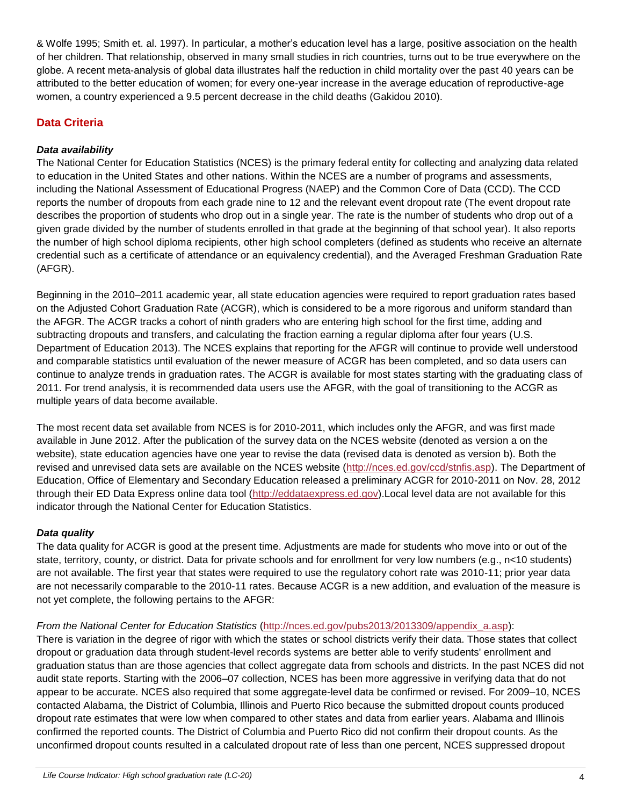& Wolfe 1995; Smith et. al. 1997). In particular, a mother's education level has a large, positive association on the health of her children. That relationship, observed in many small studies in rich countries, turns out to be true everywhere on the globe. A recent meta-analysis of global data illustrates half the reduction in child mortality over the past 40 years can be attributed to the better education of women; for every one-year increase in the average education of reproductive-age women, a country experienced a 9.5 percent decrease in the child deaths (Gakidou 2010).

# **Data Criteria**

#### *Data availability*

The National Center for Education Statistics (NCES) is the primary federal entity for collecting and analyzing data related to education in the United States and other nations. Within the NCES are a number of programs and assessments, including the National Assessment of Educational Progress (NAEP) and the Common Core of Data (CCD). The CCD reports the number of dropouts from each grade nine to 12 and the relevant event dropout rate (The event dropout rate describes the proportion of students who drop out in a single year. The rate is the number of students who drop out of a given grade divided by the number of students enrolled in that grade at the beginning of that school year). It also reports the number of high school diploma recipients, other high school completers (defined as students who receive an alternate credential such as a certificate of attendance or an equivalency credential), and the Averaged Freshman Graduation Rate (AFGR).

Beginning in the 2010–2011 academic year, all state education agencies were required to report graduation rates based on the Adjusted Cohort Graduation Rate (ACGR), which is considered to be a more rigorous and uniform standard than the AFGR. The ACGR tracks a cohort of ninth graders who are entering high school for the first time, adding and subtracting dropouts and transfers, and calculating the fraction earning a regular diploma after four years (U.S. Department of Education 2013). The NCES explains that reporting for the AFGR will continue to provide well understood and comparable statistics until evaluation of the newer measure of ACGR has been completed, and so data users can continue to analyze trends in graduation rates. The ACGR is available for most states starting with the graduating class of 2011. For trend analysis, it is recommended data users use the AFGR, with the goal of transitioning to the ACGR as multiple years of data become available.

The most recent data set available from NCES is for 2010-2011, which includes only the AFGR, and was first made available in June 2012. After the publication of the survey data on the NCES website (denoted as version a on the website), state education agencies have one year to revise the data (revised data is denoted as version b). Both the revised and unrevised data sets are available on the NCES website [\(http://nces.ed.gov/ccd/stnfis.asp\)](http://nces.ed.gov/ccd/stnfis.asp). The Department of Education, Office of Elementary and Secondary Education released a preliminary ACGR for 2010-2011 on Nov. 28, 2012 through their ED Data Express online data tool [\(http://eddataexpress.ed.gov\)](http://eddataexpress.ed.gov/).Local level data are not available for this indicator through the National Center for Education Statistics.

#### *Data quality*

The data quality for ACGR is good at the present time. Adjustments are made for students who move into or out of the state, territory, county, or district. Data for private schools and for enrollment for very low numbers (e.g., n<10 students) are not available. The first year that states were required to use the regulatory cohort rate was 2010-11; prior year data are not necessarily comparable to the 2010-11 rates. Because ACGR is a new addition, and evaluation of the measure is not yet complete, the following pertains to the AFGR:

#### *From the National Center for Education Statistics* [\(http://nces.ed.gov/pubs2013/2013309/appendix\\_a.asp\)](http://nces.ed.gov/pubs2013/2013309/appendix_a.asp):

There is variation in the degree of rigor with which the states or school districts verify their data. Those states that collect dropout or graduation data through student-level records systems are better able to verify students' enrollment and graduation status than are those agencies that collect aggregate data from schools and districts. In the past NCES did not audit state reports. Starting with the 2006–07 collection, NCES has been more aggressive in verifying data that do not appear to be accurate. NCES also required that some aggregate-level data be confirmed or revised. For 2009–10, NCES contacted Alabama, the District of Columbia, Illinois and Puerto Rico because the submitted dropout counts produced dropout rate estimates that were low when compared to other states and data from earlier years. Alabama and Illinois confirmed the reported counts. The District of Columbia and Puerto Rico did not confirm their dropout counts. As the unconfirmed dropout counts resulted in a calculated dropout rate of less than one percent, NCES suppressed dropout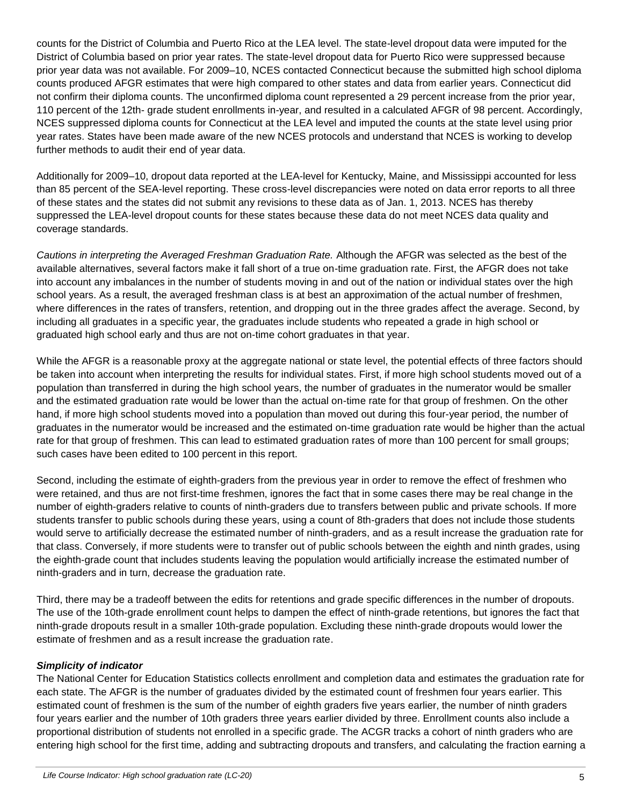counts for the District of Columbia and Puerto Rico at the LEA level. The state-level dropout data were imputed for the District of Columbia based on prior year rates. The state-level dropout data for Puerto Rico were suppressed because prior year data was not available. For 2009–10, NCES contacted Connecticut because the submitted high school diploma counts produced AFGR estimates that were high compared to other states and data from earlier years. Connecticut did not confirm their diploma counts. The unconfirmed diploma count represented a 29 percent increase from the prior year, 110 percent of the 12th- grade student enrollments in-year, and resulted in a calculated AFGR of 98 percent. Accordingly, NCES suppressed diploma counts for Connecticut at the LEA level and imputed the counts at the state level using prior year rates. States have been made aware of the new NCES protocols and understand that NCES is working to develop further methods to audit their end of year data.

Additionally for 2009–10, dropout data reported at the LEA-level for Kentucky, Maine, and Mississippi accounted for less than 85 percent of the SEA-level reporting. These cross-level discrepancies were noted on data error reports to all three of these states and the states did not submit any revisions to these data as of Jan. 1, 2013. NCES has thereby suppressed the LEA-level dropout counts for these states because these data do not meet NCES data quality and coverage standards.

*Cautions in interpreting the Averaged Freshman Graduation Rate.* Although the AFGR was selected as the best of the available alternatives, several factors make it fall short of a true on-time graduation rate. First, the AFGR does not take into account any imbalances in the number of students moving in and out of the nation or individual states over the high school years. As a result, the averaged freshman class is at best an approximation of the actual number of freshmen, where differences in the rates of transfers, retention, and dropping out in the three grades affect the average. Second, by including all graduates in a specific year, the graduates include students who repeated a grade in high school or graduated high school early and thus are not on-time cohort graduates in that year.

While the AFGR is a reasonable proxy at the aggregate national or state level, the potential effects of three factors should be taken into account when interpreting the results for individual states. First, if more high school students moved out of a population than transferred in during the high school years, the number of graduates in the numerator would be smaller and the estimated graduation rate would be lower than the actual on-time rate for that group of freshmen. On the other hand, if more high school students moved into a population than moved out during this four-year period, the number of graduates in the numerator would be increased and the estimated on-time graduation rate would be higher than the actual rate for that group of freshmen. This can lead to estimated graduation rates of more than 100 percent for small groups; such cases have been edited to 100 percent in this report.

Second, including the estimate of eighth-graders from the previous year in order to remove the effect of freshmen who were retained, and thus are not first-time freshmen, ignores the fact that in some cases there may be real change in the number of eighth-graders relative to counts of ninth-graders due to transfers between public and private schools. If more students transfer to public schools during these years, using a count of 8th-graders that does not include those students would serve to artificially decrease the estimated number of ninth-graders, and as a result increase the graduation rate for that class. Conversely, if more students were to transfer out of public schools between the eighth and ninth grades, using the eighth-grade count that includes students leaving the population would artificially increase the estimated number of ninth-graders and in turn, decrease the graduation rate.

Third, there may be a tradeoff between the edits for retentions and grade specific differences in the number of dropouts. The use of the 10th-grade enrollment count helps to dampen the effect of ninth-grade retentions, but ignores the fact that ninth-grade dropouts result in a smaller 10th-grade population. Excluding these ninth-grade dropouts would lower the estimate of freshmen and as a result increase the graduation rate.

### *Simplicity of indicator*

The National Center for Education Statistics collects enrollment and completion data and estimates the graduation rate for each state. The AFGR is the number of graduates divided by the estimated count of freshmen four years earlier. This estimated count of freshmen is the sum of the number of eighth graders five years earlier, the number of ninth graders four years earlier and the number of 10th graders three years earlier divided by three. Enrollment counts also include a proportional distribution of students not enrolled in a specific grade. The ACGR tracks a cohort of ninth graders who are entering high school for the first time, adding and subtracting dropouts and transfers, and calculating the fraction earning a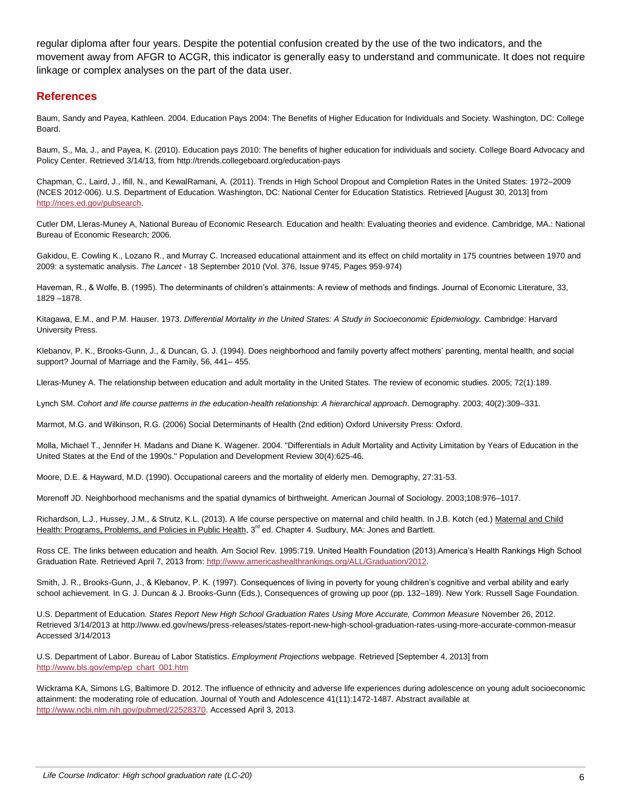regular diploma after four years. Despite the potential confusion created by the use of the two indicators, and the movement away from AFGR to ACGR, this indicator is generally easy to understand and communicate. It does not require linkage or complex analyses on the part of the data user.

#### **References**

Baum, Sandy and Payea, Kathleen. 2004. Education Pays 2004: The Benefits of Higher Education for Individuals and Society. Washington, DC: College Board.

Baum, S., Ma, J., and Payea, K. (2010). Education pays 2010: The benefits of higher education for individuals and society. College Board Advocacy and Policy Center. Retrieved 3/14/13, from http://trends.collegeboard.org/education-pays

Chapman, C., Laird, J., Ifill, N., and KewalRamani, A. (2011). Trends in High School Dropout and Completion Rates in the United States: 1972–2009 (NCES 2012-006). U.S. Department of Education. Washington, DC: National Center for Education Statistics. Retrieved [August 30, 2013] from [http://nces.ed.gov/pubsearch.](http://nces.ed.gov/pubsearch)

Cutler DM, Lleras-Muney A, National Bureau of Economic Research. Education and health: Evaluating theories and evidence. Cambridge, MA.: National Bureau of Economic Research; 2006.

Gakidou, E. Cowling K., Lozano R., and Murray C. Increased educational attainment and its effect on child mortality in 175 countries between 1970 and 2009: a systematic analysis. *The Lancet* - 18 September 2010 (Vol. 376, Issue 9745, Pages 959-974)

Haveman, R., & Wolfe, B. (1995). The determinants of children's attainments: A review of methods and findings. Journal of Economic Literature, 33, 1829 –1878.

Kitagawa, E.M., and P.M. Hauser. 1973. *Differential Mortality in the United States: A Study in Socioeconomic Epidemiology.* Cambridge: Harvard University Press.

Klebanov, P. K., Brooks-Gunn, J., & Duncan, G. J. (1994). Does neighborhood and family poverty affect mothers' parenting, mental health, and social support? Journal of Marriage and the Family, 56, 441– 455.

Lleras-Muney A. The relationship between education and adult mortality in the United States. The review of economic studies. 2005; 72(1):189.

Lynch SM. *Cohort and life course patterns in the education-health relationship: A hierarchical approach*. Demography. 2003; 40(2):309–331.

Marmot, M.G. and Wilkinson, R.G. (2006) Social Determinants of Health (2nd edition) Oxford University Press: Oxford.

Molla, Michael T., Jennifer H. Madans and Diane K. Wagener. 2004. "Differentials in Adult Mortality and Activity Limitation by Years of Education in the United States at the End of the 1990s." Population and Development Review 30(4):625-46.

Moore, D.E. & Hayward, M.D. (1990). Occupational careers and the mortality of elderly men. Demography, 27:31-53.

Morenoff JD. Neighborhood mechanisms and the spatial dynamics of birthweight. American Journal of Sociology. 2003;108:976–1017.

Richardson, L.J., Hussey, J.M., & Strutz, K.L. (2013). A life course perspective on maternal and child health. In J.B. Kotch (ed.) Maternal and Child Health: Programs, Problems, and Policies in Public Health, 3<sup>rd</sup> ed. Chapter 4. Sudbury, MA: Jones and Bartlett.

Ross CE. The links between education and health. Am Sociol Rev. 1995:719. United Health Foundation (2013).America's Health Rankings High School Graduation Rate. Retrieved April 7, 2013 from: http://www.americashealthrankings.org/ALL/Graduation/2012.

Smith, J. R., Brooks-Gunn, J., & Klebanov, P. K. (1997). Consequences of living in poverty for young children's cognitive and verbal ability and early school achievement. In G. J. Duncan & J. Brooks-Gunn (Eds.), Consequences of growing up poor (pp. 132–189). New York: Russell Sage Foundation.

U.S. Department of Education. *States Report New High School Graduation Rates Using More Accurate, Common Measure* November 26, 2012. Retrieved 3/14/2013 at http://www.ed.gov/news/press-releases/states-report-new-high-school-graduation-rates-using-more-accurate-common-measur Accessed 3/14/2013

U.S. Department of Labor. Bureau of Labor Statistics. *Employment Projections* webpage. Retrieved [September 4, 2013] from [http://www.bls.gov/emp/ep\\_chart\\_001.htm](http://www.bls.gov/emp/ep_chart_001.htm)

Wickrama KA, Simons LG, Baltimore D. 2012. The influence of ethnicity and adverse life experiences during adolescence on young adult socioeconomic attainment: the moderating role of education. Journal of Youth and Adolescence 41(11):1472-1487. Abstract available at [http://www.ncbi.nlm.nih.gov/pubmed/22528370.](http://www.ncbi.nlm.nih.gov/pubmed/22528370) Accessed April 3, 2013.